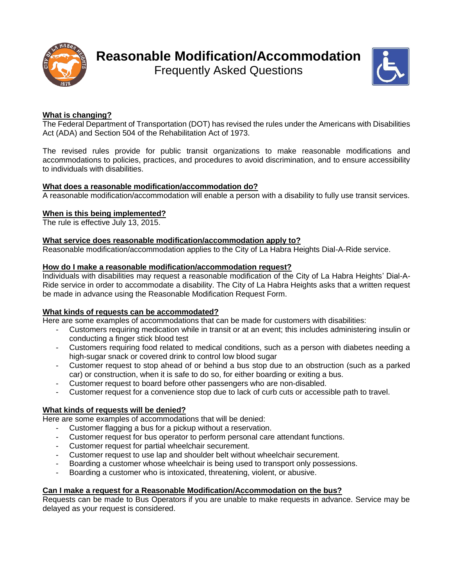

# **Reasonable Modification/Accommodation**

Frequently Asked Questions



## **What is changing?**

The Federal Department of Transportation (DOT) has revised the rules under the Americans with Disabilities Act (ADA) and Section 504 of the Rehabilitation Act of 1973.

The revised rules provide for public transit organizations to make reasonable modifications and accommodations to policies, practices, and procedures to avoid discrimination, and to ensure accessibility to individuals with disabilities.

## **What does a reasonable modification/accommodation do?**

A reasonable modification/accommodation will enable a person with a disability to fully use transit services.

## **When is this being implemented?**

The rule is effective July 13, 2015.

## **What service does reasonable modification/accommodation apply to?**

Reasonable modification/accommodation applies to the City of La Habra Heights Dial-A-Ride service.

#### **How do I make a reasonable modification/accommodation request?**

Individuals with disabilities may request a reasonable modification of the City of La Habra Heights' Dial-A-Ride service in order to accommodate a disability. The City of La Habra Heights asks that a written request be made in advance using the Reasonable Modification Request Form.

#### **What kinds of requests can be accommodated?**

Here are some examples of accommodations that can be made for customers with disabilities:

- Customers requiring medication while in transit or at an event; this includes administering insulin or conducting a finger stick blood test
- Customers requiring food related to medical conditions, such as a person with diabetes needing a high-sugar snack or covered drink to control low blood sugar
- Customer request to stop ahead of or behind a bus stop due to an obstruction (such as a parked car) or construction, when it is safe to do so, for either boarding or exiting a bus.
- Customer request to board before other passengers who are non-disabled.
- Customer request for a convenience stop due to lack of curb cuts or accessible path to travel.

## **What kinds of requests will be denied?**

Here are some examples of accommodations that will be denied:

- Customer flagging a bus for a pickup without a reservation.
- Customer request for bus operator to perform personal care attendant functions.
- Customer request for partial wheelchair securement.
- Customer request to use lap and shoulder belt without wheelchair securement.
- Boarding a customer whose wheelchair is being used to transport only possessions.
- Boarding a customer who is intoxicated, threatening, violent, or abusive.

## **Can I make a request for a Reasonable Modification/Accommodation on the bus?**

Requests can be made to Bus Operators if you are unable to make requests in advance. Service may be delayed as your request is considered.